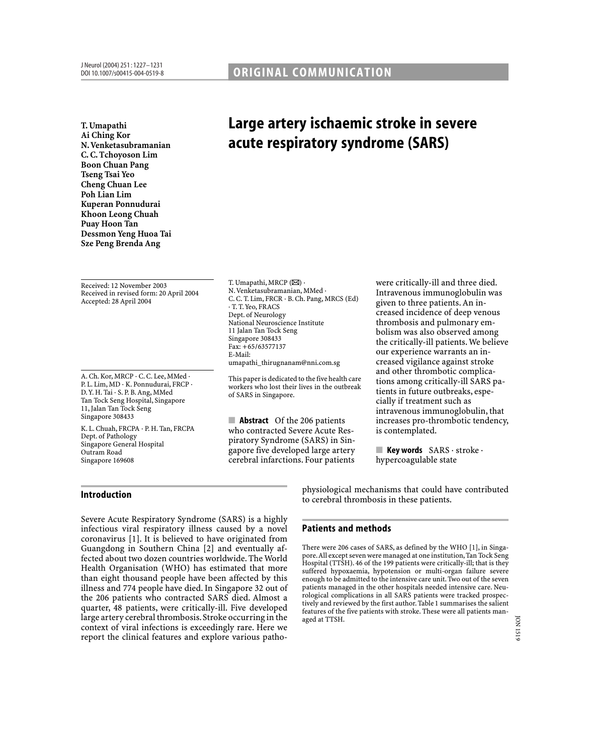**T. Umapathi Ai Ching Kor N. Venketasubramanian C. C. Tchoyoson Lim Boon Chuan Pang Tseng Tsai Yeo Cheng Chuan Lee Poh Lian Lim Kuperan Ponnudurai Khoon Leong Chuah Puay Hoon Tan Dessmon Yeng Huoa Tai Sze Peng Brenda Ang**

Received: 12 November 2003 Received in revised form: 20 April 2004 Accepted: 28 April 2004

A. Ch. Kor, MRCP · C. C. Lee, MMed · P. L. Lim, MD · K. Ponnudurai, FRCP · D. Y. H. Tai · S. P. B. Ang, MMed Tan Tock Seng Hospital, Singapore 11, Jalan Tan Tock Seng Singapore 308433

K. L. Chuah, FRCPA · P. H. Tan, FRCPA Dept. of Pathology Singapore General Hospital Outram Road Singapore 169608

N. Venketasubramanian, MMed · C. C. T. Lim, FRCR · B. Ch. Pang, MRCS (Ed) · T. T. Yeo, FRACS Dept. of Neurology National Neuroscience Institute 11 Jalan Tan Tock Seng Singapore 308433 Fax: +65/63577137 E-Mail: umapathi\_thirugnanam@nni.com.sg

T. Umapathi, MRCP  $(\boxtimes)$ .

This paper is dedicated to the five health care workers who lost their lives in the outbreak of SARS in Singapore.

■ Abstract Of the 206 patients who contracted Severe Acute Respiratory Syndrome (SARS) in Singapore five developed large artery cerebral infarctions. Four patients

were critically-ill and three died. Intravenous immunoglobulin was given to three patients. An increased incidence of deep venous thrombosis and pulmonary embolism was also observed among the critically-ill patients. We believe our experience warrants an increased vigilance against stroke and other thrombotic complications among critically-ill SARS patients in future outbreaks, especially if treatment such as intravenous immunoglobulin, that increases pro-thrombotic tendency, is contemplated.

■ Key words SARS · stroke · hypercoagulable state

Introduction

Severe Acute Respiratory Syndrome (SARS) is a highly infectious viral respiratory illness caused by a novel coronavirus [1]. It is believed to have originated from Guangdong in Southern China [2] and eventually affected about two dozen countries worldwide. The World Health Organisation (WHO) has estimated that more than eight thousand people have been affected by this illness and 774 people have died. In Singapore 32 out of the 206 patients who contracted SARS died. Almost a quarter, 48 patients, were critically-ill. Five developed large artery cerebral thrombosis.Stroke occurring in the context of viral infections is exceedingly rare. Here we report the clinical features and explore various pathophysiological mechanisms that could have contributed to cerebral thrombosis in these patients.

# Patients and methods

There were 206 cases of SARS, as defined by the WHO [1], in Singapore.All except seven were managed at one institution, Tan Tock Seng Hospital (TTSH). 46 of the 199 patients were critically-ill; that is they suffered hypoxaemia, hypotension or multi-organ failure severe enough to be admitted to the intensive care unit. Two out of the seven patients managed in the other hospitals needed intensive care. Neurological complications in all SARS patients were tracked prospectively and reviewed by the first author. Table 1 summarises the salient features of the five patients with stroke. These were all patients managed at TTSH.

# Large artery ischaemic stroke in severe acute respiratory syndrome (SARS)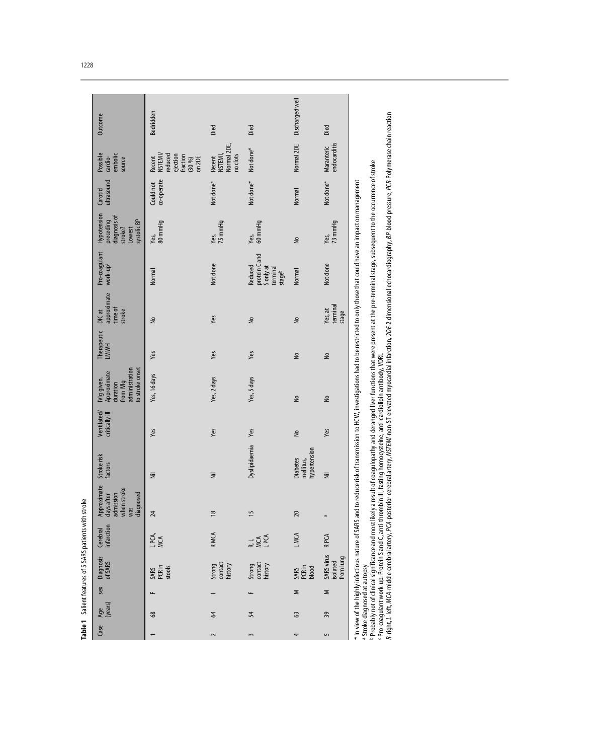|        |                                          | Table 1 Salient features of 5 SARS patients with stroke |                        |                                                                           |                                                                                                                                                                                                                                                                                                                                                                                                        |                               |                                                                                       |                     |                                            |                                                           |                                                                              |                         |                                                                          |                 |
|--------|------------------------------------------|---------------------------------------------------------|------------------------|---------------------------------------------------------------------------|--------------------------------------------------------------------------------------------------------------------------------------------------------------------------------------------------------------------------------------------------------------------------------------------------------------------------------------------------------------------------------------------------------|-------------------------------|---------------------------------------------------------------------------------------|---------------------|--------------------------------------------|-----------------------------------------------------------|------------------------------------------------------------------------------|-------------------------|--------------------------------------------------------------------------|-----------------|
| Case   | Age<br>(years)                           | Diagnosis<br>of SARS<br>sex                             | infarction<br>Cerebral | Approximate<br>when stroke<br>diagnosed<br>admission<br>days after<br>was | Stroke risk<br>factors                                                                                                                                                                                                                                                                                                                                                                                 | Ventilated/<br>critically ill | administration<br>to stroke onset<br>Approximate<br>Wlg given.<br>from Mg<br>duration | Therapeutic<br>LMWH | approximate<br>time of<br>stroke<br>DIC at | Pro-coagulant<br>work-up <sup>c</sup>                     | Hypotension<br>diagnosis of<br>systolic BP<br>preceding<br>Lowest<br>stroke? | ultrasound<br>Carotid   | Possible<br>embolic<br>cardio-<br>source                                 | Outcome         |
|        | щ<br>68                                  | PCR in<br>stools<br>SARS                                | LPCA,<br>MCA           | 24                                                                        | Ξ                                                                                                                                                                                                                                                                                                                                                                                                      | Yes                           | Yes, 16 days                                                                          | Yes                 | $\tilde{z}$                                | Normal                                                    | 80 mmHg<br>Yes,                                                              | co-operate<br>Could not | NSTEMI/<br>reduced<br>ejection<br>fraction<br>on 2DE<br>Recent<br>(30 %) | Bedridden       |
| $\sim$ | щ<br>$\mathcal{Q}$                       | contact<br>Strong<br>history                            | RMCA                   | $\frac{8}{2}$                                                             | $\overline{z}$                                                                                                                                                                                                                                                                                                                                                                                         | Yes                           | Yes, 2 days                                                                           | Yes                 | Yes                                        | Not done                                                  | 75 mmHg<br>Yes,                                                              | Not done*               | Normal 2DE,<br>NSTEMI,<br>no clots<br>Recent                             | Died            |
| 3      | щ<br>54                                  | contact<br>Strong<br>history                            | R L<br>MCA<br>L PCA    | $\frac{15}{2}$                                                            | Dyslipidaemia                                                                                                                                                                                                                                                                                                                                                                                          | Yes                           | Yes, 5 days                                                                           | Yes                 | ٤                                          | protein Cand<br>Reduced<br>S only at<br>teminal<br>stageb | 60 mmHg<br>Yes,                                                              | Not done*               | Not done*                                                                | Died            |
| 4      | Σ<br>63                                  | PCR in<br>blood<br><b>SARS</b>                          | <b>LMCA</b>            | 20                                                                        | hypertension<br><b>Diabetes</b><br>mellitus,                                                                                                                                                                                                                                                                                                                                                           | ş                             | $\geq$                                                                                | $\geq$              | $\geq$                                     | Nomal                                                     | $\geq$                                                                       | Normal                  | Normal 2DE                                                               | Discharged well |
| 5      | Σ<br>39                                  | SARS virus<br>from lung<br>isolated                     | RPCA                   | ro                                                                        | Ë                                                                                                                                                                                                                                                                                                                                                                                                      | Yes                           | $\geq$                                                                                | $\geq$              | terminal<br>Yes, at<br>stage               | Not done                                                  | 73 mmHg<br>Yes,                                                              | Not done*               | endocarditis<br>Maranteric                                               | Died            |
|        | <sup>a</sup> Stroke diagnosed at autopsy |                                                         |                        | CDso coordont und un Dectair Cond Conti-theoretis III fortion             | <sup>b</sup> Probably not of clinical significance and most likely a result of coagulopathy and deranged liver functions that were present at the pre-terminal stage, subsequent to the occurrence of stroke<br>* In view of the highly infectious nature of SARS and to reduce risk of transmission to HCW, investigations had to be restricted to only those that could have an impact on management |                               | artoina anti cardiolinin antihodu VDDI                                                |                     |                                            |                                                           |                                                                              |                         |                                                                          |                 |

R-right, L-left, MCA-middle cerebral artery, PCA-posterior cerebral artery, NSTEMI-non-ST elevated myocardial infarction, 2DE-2 dimensional echocardiography, BP-blood pressure, PCR-Polymerase chain reaction

Pro-coagulant work-up: Protein S and C, anti-thrombin III, fasting homocysteine, anti-cardiolipin antibody, VDRL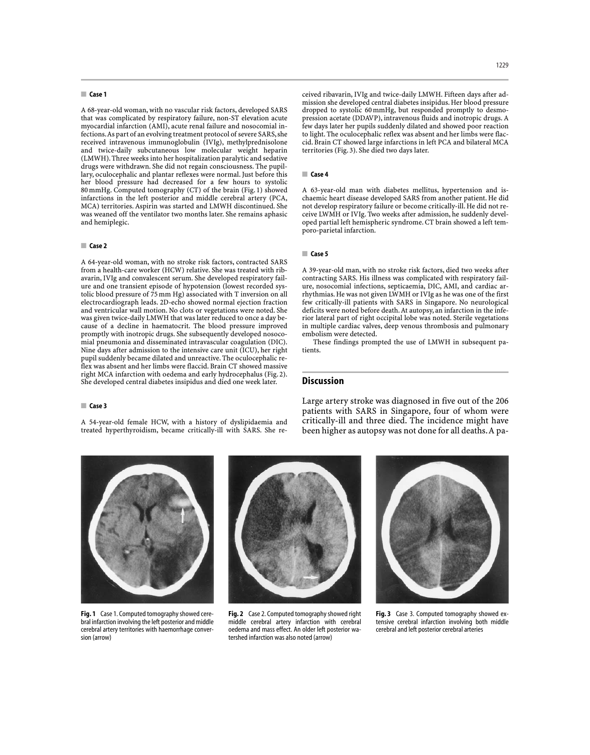## ■ Case 1

A 68-year-old woman, with no vascular risk factors, developed SARS that was complicated by respiratory failure, non-ST elevation acute myocardial infarction (AMI), acute renal failure and nosocomial infections.As part of an evolving treatment protocol of severe SARS,she received intravenous immunoglobulin (IVIg), methylprednisolone and twice-daily subcutaneous low molecular weight heparin (LMWH). Three weeks into her hospitalization paralytic and sedative drugs were withdrawn. She did not regain consciousness. The pupillary, oculocephalic and plantar reflexes were normal. Just before this her blood pressure had decreased for a few hours to systolic 80 mmHg. Computed tomography (CT) of the brain (Fig. 1) showed infarctions in the left posterior and middle cerebral artery (PCA, MCA) territories. Aspirin was started and LMWH discontinued. She was weaned off the ventilator two months later. She remains aphasic and hemiplegic.

## ■ Case 2

A 64-year-old woman, with no stroke risk factors, contracted SARS from a health-care worker (HCW) relative. She was treated with ribavarin, IVIg and convalescent serum. She developed respiratory failure and one transient episode of hypotension (lowest recorded systolic blood pressure of 75 mm Hg) associated with T inversion on all electrocardiograph leads. 2D-echo showed normal ejection fraction and ventricular wall motion. No clots or vegetations were noted. She was given twice-daily LMWH that was later reduced to once a day because of a decline in haematocrit. The blood pressure improved promptly with inotropic drugs. She subsequently developed nosocomial pneumonia and disseminated intravascular coagulation (DIC). Nine days after admission to the intensive care unit (ICU), her right pupil suddenly became dilated and unreactive. The oculocephalic reflex was absent and her limbs were flaccid. Brain CT showed massive right MCA infarction with oedema and early hydrocephalus (Fig. 2). She developed central diabetes insipidus and died one week later.

#### ■ Case 3

A 54-year-old female HCW, with a history of dyslipidaemia and treated hyperthyroidism, became critically-ill with SARS. She received ribavarin, IVIg and twice-daily LMWH. Fifteen days after admission she developed central diabetes insipidus. Her blood pressure dropped to systolic 60 mmHg, but responded promptly to desmopression acetate (DDAVP), intravenous fluids and inotropic drugs. A few days later her pupils suddenly dilated and showed poor reaction to light. The oculocephalic reflex was absent and her limbs were flaccid. Brain CT showed large infarctions in left PCA and bilateral MCA territories (Fig. 3). She died two days later.

### ■ Case 4

A 63-year-old man with diabetes mellitus, hypertension and ischaemic heart disease developed SARS from another patient. He did not develop respiratory failure or become critically-ill. He did not receive LWMH or IVIg. Two weeks after admission, he suddenly developed partial left hemispheric syndrome. CT brain showed a left temporo-parietal infarction.

#### ■ Case 5

A 39-year-old man, with no stroke risk factors, died two weeks after contracting SARS. His illness was complicated with respiratory failure, nosocomial infections, septicaemia, DIC, AMI, and cardiac arrhythmias. He was not given LWMH or IVIg as he was one of the first few critically-ill patients with SARS in Singapore. No neurological deficits were noted before death. At autopsy, an infarction in the inferior lateral part of right occipital lobe was noted. Sterile vegetations in multiple cardiac valves, deep venous thrombosis and pulmonary embolism were detected.

These findings prompted the use of LMWH in subsequent patients.

# **Discussion**

Large artery stroke was diagnosed in five out of the 206 patients with SARS in Singapore, four of whom were critically-ill and three died. The incidence might have been higher as autopsy was not done for all deaths.A pa-



Fig. 1 Case 1. Computed tomography showed cerebral infarction involving the left posterior and middle cerebral artery territories with haemorrhage conversion (arrow)



Fig. 2 Case 2. Computed tomography showed right middle cerebral artery infarction with cerebral oedema and mass effect. An older left posterior watershed infarction was also noted (arrow)



Fig. 3 Case 3. Computed tomography showed extensive cerebral infarction involving both middle cerebral and left posterior cerebral arteries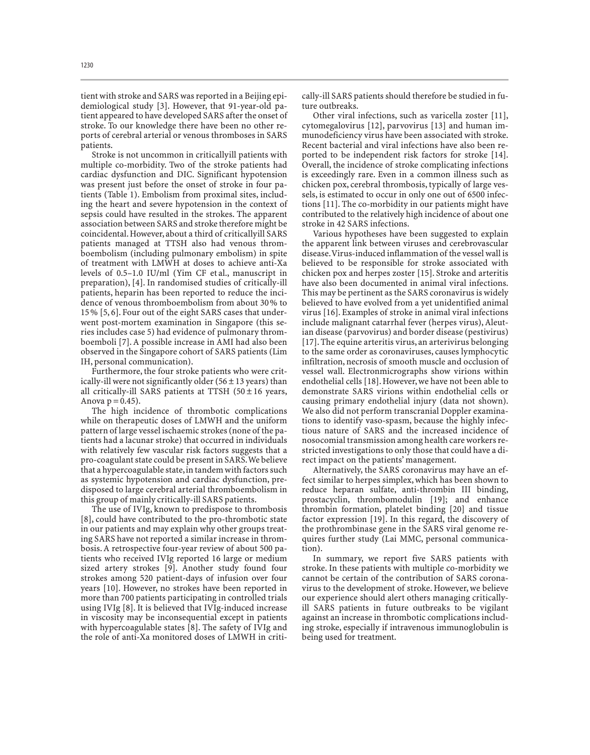tient with stroke and SARS was reported in a Beijing epidemiological study [3]. However, that 91-year-old patient appeared to have developed SARS after the onset of stroke. To our knowledge there have been no other reports of cerebral arterial or venous thromboses in SARS patients.

Stroke is not uncommon in criticallyill patients with multiple co-morbidity. Two of the stroke patients had cardiac dysfunction and DIC. Significant hypotension was present just before the onset of stroke in four patients (Table 1). Embolism from proximal sites, including the heart and severe hypotension in the context of sepsis could have resulted in the strokes. The apparent association between SARS and stroke therefore might be coincidental. However, about a third of criticallyill SARS patients managed at TTSH also had venous thromboembolism (including pulmonary embolism) in spite of treatment with LMWH at doses to achieve anti-Xa levels of 0.5–1.0 IU/ml (Yim CF et al., manuscript in preparation), [4]. In randomised studies of critically-ill patients, heparin has been reported to reduce the incidence of venous thromboembolism from about 30 % to 15 % [5, 6]. Four out of the eight SARS cases that underwent post-mortem examination in Singapore (this series includes case 5) had evidence of pulmonary thromboemboli [7]. A possible increase in AMI had also been observed in the Singapore cohort of SARS patients (Lim IH, personal communication).

Furthermore, the four stroke patients who were critically-ill were not significantly older (56  $\pm$  13 years) than all critically-ill SARS patients at TTSH  $(50 \pm 16$  years, Anova  $p = 0.45$ ).

The high incidence of thrombotic complications while on therapeutic doses of LMWH and the uniform pattern of large vessel ischaemic strokes (none of the patients had a lacunar stroke) that occurred in individuals with relatively few vascular risk factors suggests that a pro-coagulant state could be present in SARS.We believe that a hypercoagulable state,in tandem with factors such as systemic hypotension and cardiac dysfunction, predisposed to large cerebral arterial thromboembolism in this group of mainly critically-ill SARS patients.

The use of IVIg, known to predispose to thrombosis [8], could have contributed to the pro-thrombotic state in our patients and may explain why other groups treating SARS have not reported a similar increase in thrombosis. A retrospective four-year review of about 500 patients who received IVIg reported 16 large or medium sized artery strokes [9]. Another study found four strokes among 520 patient-days of infusion over four years [10]. However, no strokes have been reported in more than 700 patients participating in controlled trials using IVIg [8]. It is believed that IVIg-induced increase in viscosity may be inconsequential except in patients with hypercoagulable states [8]. The safety of IVIg and the role of anti-Xa monitored doses of LMWH in critically-ill SARS patients should therefore be studied in future outbreaks.

Other viral infections, such as varicella zoster [11], cytomegalovirus [12], parvovirus [13] and human immunodeficiency virus have been associated with stroke. Recent bacterial and viral infections have also been reported to be independent risk factors for stroke [14]. Overall, the incidence of stroke complicating infections is exceedingly rare. Even in a common illness such as chicken pox, cerebral thrombosis, typically of large vessels, is estimated to occur in only one out of 6500 infections [11]. The co-morbidity in our patients might have contributed to the relatively high incidence of about one stroke in 42 SARS infections.

Various hypotheses have been suggested to explain the apparent link between viruses and cerebrovascular disease.Virus-induced inflammation of the vessel wall is believed to be responsible for stroke associated with chicken pox and herpes zoster [15]. Stroke and arteritis have also been documented in animal viral infections. This may be pertinent as the SARS coronavirus is widely believed to have evolved from a yet unidentified animal virus [16]. Examples of stroke in animal viral infections include malignant catarrhal fever (herpes virus), Aleutian disease (parvovirus) and border disease (pestivirus) [17]. The equine arteritis virus, an arterivirus belonging to the same order as coronaviruses, causes lymphocytic infiltration, necrosis of smooth muscle and occlusion of vessel wall. Electronmicrographs show virions within endothelial cells [18]. However, we have not been able to demonstrate SARS virions within endothelial cells or causing primary endothelial injury (data not shown). We also did not perform transcranial Doppler examinations to identify vaso-spasm, because the highly infectious nature of SARS and the increased incidence of nosocomial transmission among health care workers restricted investigations to only those that could have a direct impact on the patients' management.

Alternatively, the SARS coronavirus may have an effect similar to herpes simplex, which has been shown to reduce heparan sulfate, anti-thrombin III binding, prostacyclin, thrombomodulin [19]; and enhance thrombin formation, platelet binding [20] and tissue factor expression [19]. In this regard, the discovery of the prothrombinase gene in the SARS viral genome requires further study (Lai MMC, personal communication).

In summary, we report five SARS patients with stroke. In these patients with multiple co-morbidity we cannot be certain of the contribution of SARS coronavirus to the development of stroke. However, we believe our experience should alert others managing criticallyill SARS patients in future outbreaks to be vigilant against an increase in thrombotic complications including stroke, especially if intravenous immunoglobulin is being used for treatment.